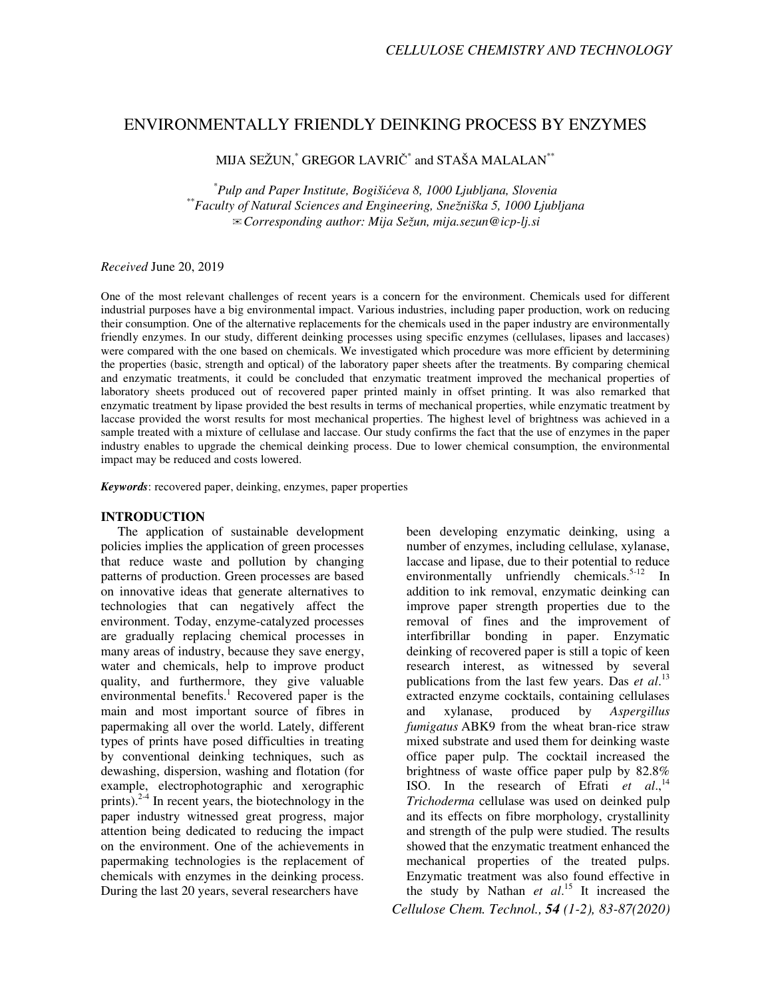# ENVIRONMENTALLY FRIENDLY DEINKING PROCESS BY ENZYMES

MIJA SEŽUN, $\displaystyle\phantom{i}^*$  GREGOR LAVRIČ $\displaystyle\phantom{i}^*$  and STAŠA MALALAN $\displaystyle\phantom{i}^{**}$ 

*\* Pulp and Paper Institute, Bogiši*ć*eva 8, 1000 Ljubljana, Slovenia \*\*Faculty of Natural Sciences and Engineering, Snežniška 5, 1000 Ljubljana*  ✉*Corresponding author: Mija Sežun, mija.sezun@icp-lj.si* 

### *Received* June 20, 2019

One of the most relevant challenges of recent years is a concern for the environment. Chemicals used for different industrial purposes have a big environmental impact. Various industries, including paper production, work on reducing their consumption. One of the alternative replacements for the chemicals used in the paper industry are environmentally friendly enzymes. In our study, different deinking processes using specific enzymes (cellulases, lipases and laccases) were compared with the one based on chemicals. We investigated which procedure was more efficient by determining the properties (basic, strength and optical) of the laboratory paper sheets after the treatments. By comparing chemical and enzymatic treatments, it could be concluded that enzymatic treatment improved the mechanical properties of laboratory sheets produced out of recovered paper printed mainly in offset printing. It was also remarked that enzymatic treatment by lipase provided the best results in terms of mechanical properties, while enzymatic treatment by laccase provided the worst results for most mechanical properties. The highest level of brightness was achieved in a sample treated with a mixture of cellulase and laccase. Our study confirms the fact that the use of enzymes in the paper industry enables to upgrade the chemical deinking process. Due to lower chemical consumption, the environmental impact may be reduced and costs lowered.

*Keywords*: recovered paper, deinking, enzymes, paper properties

### **INTRODUCTION**

The application of sustainable development policies implies the application of green processes that reduce waste and pollution by changing patterns of production. Green processes are based on innovative ideas that generate alternatives to technologies that can negatively affect the environment. Today, enzyme-catalyzed processes are gradually replacing chemical processes in many areas of industry, because they save energy, water and chemicals, help to improve product quality, and furthermore, they give valuable environmental benefits.<sup>1</sup> Recovered paper is the main and most important source of fibres in papermaking all over the world. Lately, different types of prints have posed difficulties in treating by conventional deinking techniques, such as dewashing, dispersion, washing and flotation (for example, electrophotographic and xerographic prints). $2-4$  In recent years, the biotechnology in the paper industry witnessed great progress, major attention being dedicated to reducing the impact on the environment. One of the achievements in papermaking technologies is the replacement of chemicals with enzymes in the deinking process. During the last 20 years, several researchers have

been developing enzymatic deinking, using a number of enzymes, including cellulase, xylanase, laccase and lipase, due to their potential to reduce environmentally unfriendly chemicals.<sup>5-12</sup> In addition to ink removal, enzymatic deinking can improve paper strength properties due to the removal of fines and the improvement of interfibrillar bonding in paper. Enzymatic deinking of recovered paper is still a topic of keen research interest, as witnessed by several publications from the last few years. Das *et al*. 13 extracted enzyme cocktails, containing cellulases and xylanase, produced by *Aspergillus fumigatus* ABK9 from the wheat bran-rice straw mixed substrate and used them for deinking waste office paper pulp. The cocktail increased the brightness of waste office paper pulp by 82.8% ISO. In the research of Efrati et al.,<sup>14</sup> *Trichoderma* cellulase was used on deinked pulp and its effects on fibre morphology, crystallinity and strength of the pulp were studied. The results showed that the enzymatic treatment enhanced the mechanical properties of the treated pulps. Enzymatic treatment was also found effective in the study by Nathan *et al*. <sup>15</sup> It increased the

*Cellulose Chem. Technol., 54 (1-2), 83-87(2020)*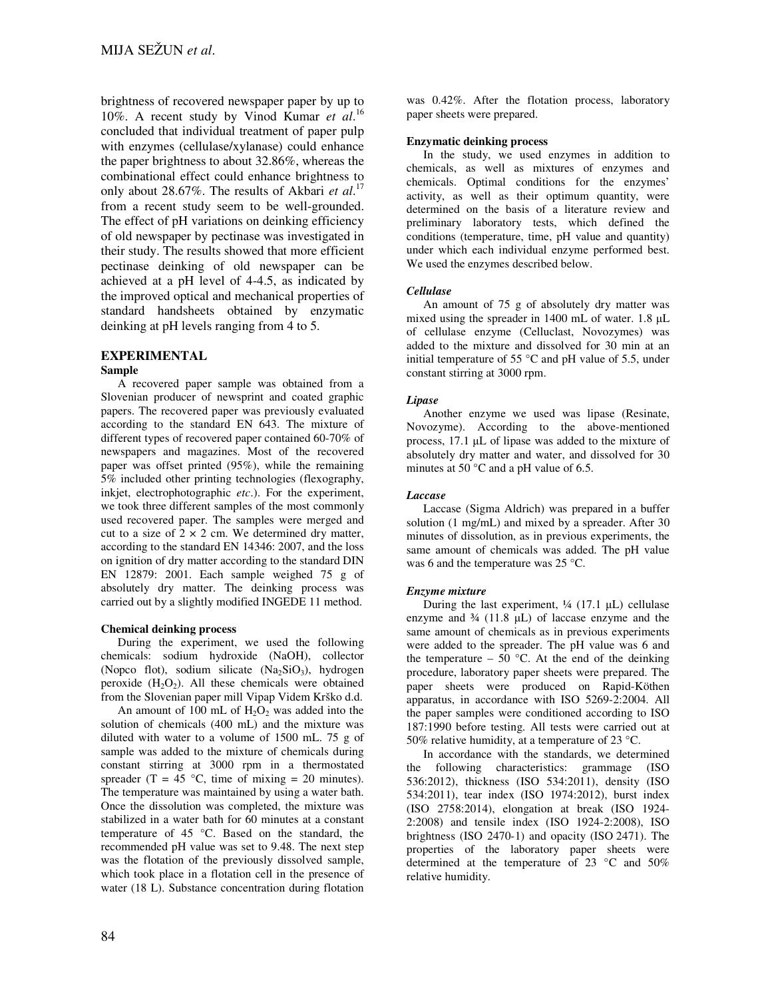brightness of recovered newspaper paper by up to 10%. A recent study by Vinod Kumar *et al*. 16 concluded that individual treatment of paper pulp with enzymes (cellulase/xylanase) could enhance the paper brightness to about 32.86%, whereas the combinational effect could enhance brightness to only about 28.67%. The results of Akbari *et al*. 17 from a recent study seem to be well-grounded. The effect of pH variations on deinking efficiency of old newspaper by pectinase was investigated in their study. The results showed that more efficient pectinase deinking of old newspaper can be achieved at a pH level of 4-4.5, as indicated by the improved optical and mechanical properties of standard handsheets obtained by enzymatic deinking at pH levels ranging from 4 to 5.

### **EXPERIMENTAL**

### **Sample**

A recovered paper sample was obtained from a Slovenian producer of newsprint and coated graphic papers. The recovered paper was previously evaluated according to the standard EN 643. The mixture of different types of recovered paper contained 60-70% of newspapers and magazines. Most of the recovered paper was offset printed (95%), while the remaining 5% included other printing technologies (flexography, inkjet, electrophotographic *etc*.). For the experiment, we took three different samples of the most commonly used recovered paper. The samples were merged and cut to a size of  $2 \times 2$  cm. We determined dry matter, according to the standard EN 14346: 2007, and the loss on ignition of dry matter according to the standard DIN EN 12879: 2001. Each sample weighed 75 g of absolutely dry matter. The deinking process was carried out by a slightly modified INGEDE 11 method.

### **Chemical deinking process**

During the experiment, we used the following chemicals: sodium hydroxide (NaOH), collector (Nopco flot), sodium silicate  $(Na<sub>2</sub>SiO<sub>3</sub>)$ , hydrogen peroxide  $(H_2O_2)$ . All these chemicals were obtained from the Slovenian paper mill Vipap Videm Krško d.d.

An amount of 100 mL of  $H_2O_2$  was added into the solution of chemicals (400 mL) and the mixture was diluted with water to a volume of 1500 mL. 75 g of sample was added to the mixture of chemicals during constant stirring at 3000 rpm in a thermostated spreader (T =  $45^{\circ}$ C, time of mixing = 20 minutes). The temperature was maintained by using a water bath. Once the dissolution was completed, the mixture was stabilized in a water bath for 60 minutes at a constant temperature of 45 °C. Based on the standard, the recommended pH value was set to 9.48. The next step was the flotation of the previously dissolved sample, which took place in a flotation cell in the presence of water (18 L). Substance concentration during flotation

was 0.42%. After the flotation process, laboratory paper sheets were prepared.

#### **Enzymatic deinking process**

In the study, we used enzymes in addition to chemicals, as well as mixtures of enzymes and chemicals. Optimal conditions for the enzymes' activity, as well as their optimum quantity, were determined on the basis of a literature review and preliminary laboratory tests, which defined the conditions (temperature, time, pH value and quantity) under which each individual enzyme performed best. We used the enzymes described below.

### *Cellulase*

An amount of 75 g of absolutely dry matter was mixed using the spreader in 1400 mL of water. 1.8 µL of cellulase enzyme (Celluclast, Novozymes) was added to the mixture and dissolved for 30 min at an initial temperature of 55 °C and pH value of 5.5, under constant stirring at 3000 rpm.

### *Lipase*

Another enzyme we used was lipase (Resinate, Novozyme). According to the above-mentioned process, 17.1 µL of lipase was added to the mixture of absolutely dry matter and water, and dissolved for 30 minutes at 50 °C and a pH value of 6.5.

### *Laccase*

Laccase (Sigma Aldrich) was prepared in a buffer solution (1 mg/mL) and mixed by a spreader. After 30 minutes of dissolution, as in previous experiments, the same amount of chemicals was added. The pH value was 6 and the temperature was 25 °C.

### *Enzyme mixture*

During the last experiment,  $\frac{1}{4}$  (17.1 µL) cellulase enzyme and  $\frac{3}{4}$  (11.8 µL) of laccase enzyme and the same amount of chemicals as in previous experiments were added to the spreader. The pH value was 6 and the temperature – 50  $^{\circ}$ C. At the end of the deinking procedure, laboratory paper sheets were prepared. The paper sheets were produced on Rapid-Köthen apparatus, in accordance with ISO 5269-2:2004. All the paper samples were conditioned according to ISO 187:1990 before testing. All tests were carried out at 50% relative humidity, at a temperature of 23  $^{\circ}$ C.

In accordance with the standards, we determined the following characteristics: grammage (ISO 536:2012), thickness (ISO 534:2011), density (ISO 534:2011), tear index (ISO 1974:2012), burst index (ISO 2758:2014), elongation at break (ISO 1924- 2:2008) and tensile index (ISO 1924-2:2008), ISO brightness (ISO 2470-1) and opacity (ISO 2471). The properties of the laboratory paper sheets were determined at the temperature of 23 °C and 50% relative humidity.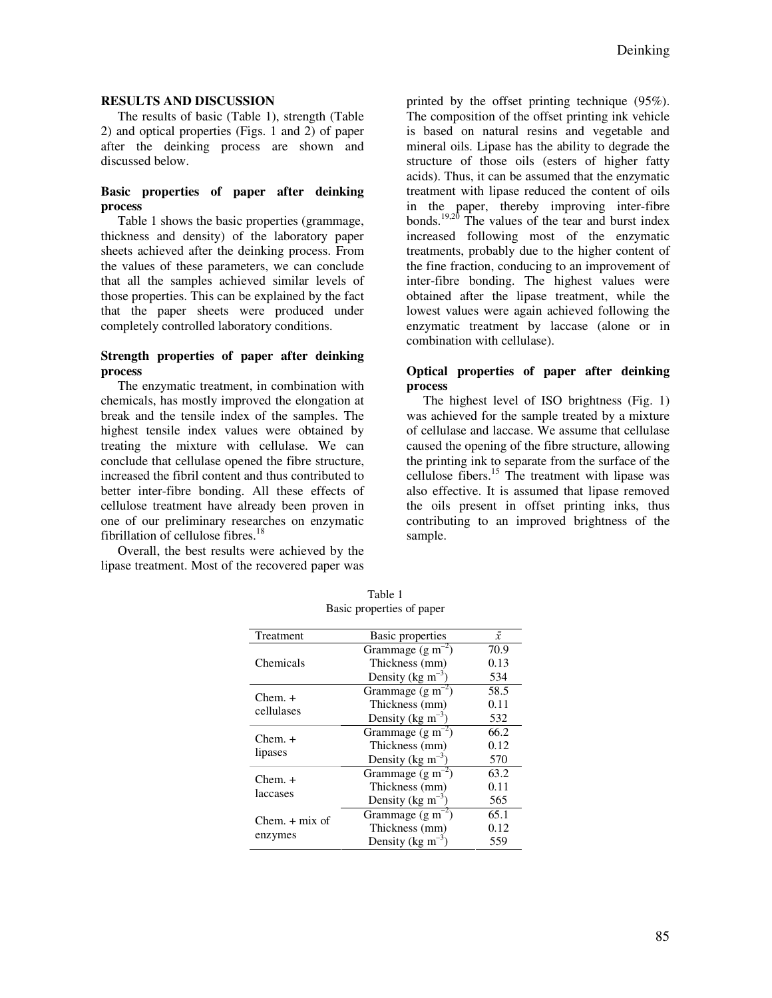### **RESULTS AND DISCUSSION**

The results of basic (Table 1), strength (Table 2) and optical properties (Figs. 1 and 2) of paper after the deinking process are shown and discussed below.

## **Basic properties of paper after deinking process**

Table 1 shows the basic properties (grammage, thickness and density) of the laboratory paper sheets achieved after the deinking process. From the values of these parameters, we can conclude that all the samples achieved similar levels of those properties. This can be explained by the fact that the paper sheets were produced under completely controlled laboratory conditions.

### **Strength properties of paper after deinking process**

The enzymatic treatment, in combination with chemicals, has mostly improved the elongation at break and the tensile index of the samples. The highest tensile index values were obtained by treating the mixture with cellulase. We can conclude that cellulase opened the fibre structure, increased the fibril content and thus contributed to better inter-fibre bonding. All these effects of cellulose treatment have already been proven in one of our preliminary researches on enzymatic fibrillation of cellulose fibres.<sup>18</sup>

Overall, the best results were achieved by the lipase treatment. Most of the recovered paper was printed by the offset printing technique (95%). The composition of the offset printing ink vehicle is based on natural resins and vegetable and mineral oils. Lipase has the ability to degrade the structure of those oils (esters of higher fatty acids). Thus, it can be assumed that the enzymatic treatment with lipase reduced the content of oils in the paper, thereby improving inter-fibre bonds.<sup>19,20</sup> The values of the tear and burst index increased following most of the enzymatic treatments, probably due to the higher content of the fine fraction, conducing to an improvement of inter-fibre bonding. The highest values were obtained after the lipase treatment, while the lowest values were again achieved following the enzymatic treatment by laccase (alone or in combination with cellulase).

## **Optical properties of paper after deinking process**

The highest level of ISO brightness (Fig. 1) was achieved for the sample treated by a mixture of cellulase and laccase. We assume that cellulase caused the opening of the fibre structure, allowing the printing ink to separate from the surface of the cellulose fibers. $15$  The treatment with lipase was also effective. It is assumed that lipase removed the oils present in offset printing inks, thus contributing to an improved brightness of the sample.

| Treatment                   | Basic properties              | $\bar{x}$ |
|-----------------------------|-------------------------------|-----------|
| Chemicals                   | Grammage $(g m^{-2})$         | 70.9      |
|                             | Thickness (mm)                | 0.13      |
|                             | Density (kg m <sup>-3</sup> ) | 534       |
| $Chem. +$<br>cellulases     | Grammage $(g m^{-2})$         | 58.5      |
|                             | Thickness (mm)                | 0.11      |
|                             | Density (kg $m^{-3}$ )        | 532       |
| $Chem. +$<br>lipases        | Grammage $(g m^{-2})$         | 66.2      |
|                             | Thickness (mm)                | 0.12      |
|                             | Density (kg $m^{-3}$ )        | 570       |
| $Chem. +$<br>laccases       | Grammage $(g m^{-2})$         | 63.2      |
|                             | Thickness (mm)                | 0.11      |
|                             | Density (kg m <sup>-3</sup> ) | 565       |
| $Chem. + mix of$<br>enzymes | Grammage (g m <sup>-2</sup> ) | 65.1      |
|                             | Thickness (mm)                | 0.12      |
|                             | Density (kg m <sup>-3</sup> ) | 559       |

Table 1 Basic properties of paper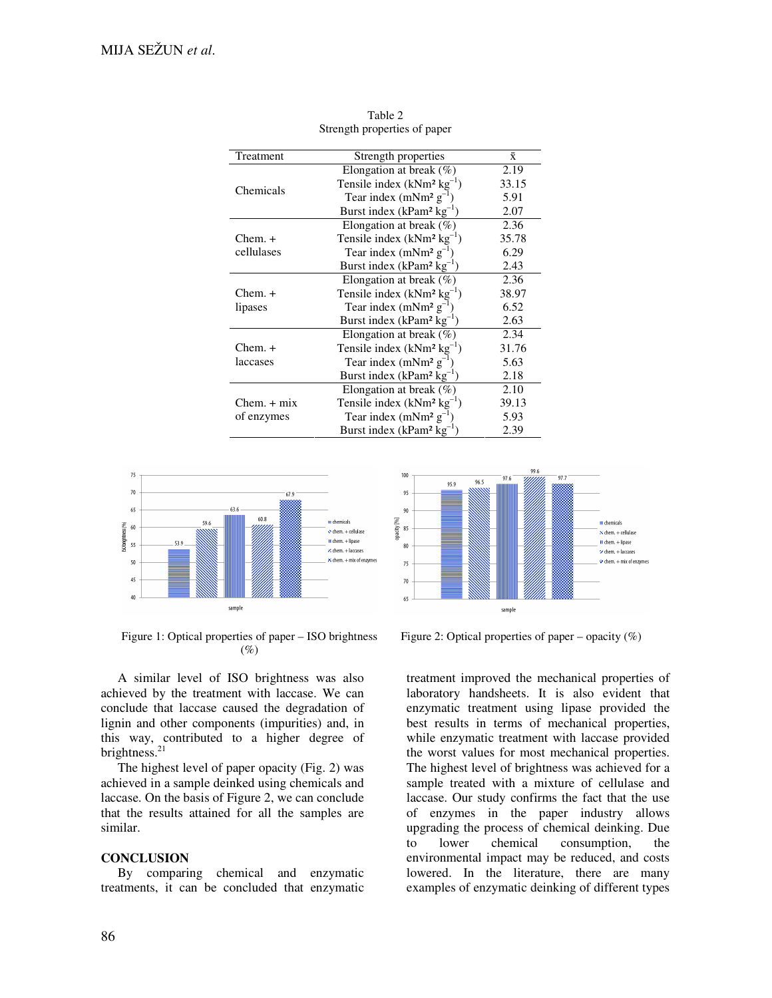| Treatment     | Strength properties                            | $\bar{x}$ |
|---------------|------------------------------------------------|-----------|
| Chemicals     | Elongation at break $(\%)$                     | 2.19      |
|               | Tensile index $(kNm^2 kg^{-1})$                | 33.15     |
|               | Tear index (mNm <sup>2</sup> $g^{-1}$ )        | 5.91      |
|               | Burst index ( $k$ Pam <sup>2</sup> $kg^{-1}$ ) | 2.07      |
|               | Elongation at break $(\%)$                     | 2.36      |
| $Chem. +$     | Tensile index $(kNm^2 kg^{-1})$                | 35.78     |
| cellulases    | Tear index (mNm <sup>2</sup> $g^{-1}$ )        | 6.29      |
|               | Burst index ( $k$ Pam <sup>2</sup> $kg^{-1}$ ) | 2.43      |
|               | Elongation at break $(\%)$                     | 2.36      |
| $Chem. +$     | Tensile index $(kNm^2 kg^{-1})$                | 38.97     |
| lipases       | Tear index (mNm <sup>2</sup> $g^{-1}$ )        | 6.52      |
|               | Burst index ( $k$ Pam <sup>2</sup> $kg^{-1}$ ) | 2.63      |
|               | Elongation at break $(\%)$                     | 2.34      |
| $Chem. +$     | Tensile index $(kNm2 kg-1)$                    | 31.76     |
| laccases      | Tear index (mNm <sup>2</sup> $g^{-1}$ )        | 5.63      |
|               | Burst index ( $k$ Pam <sup>2</sup> $kg^{-1}$ ) | 2.18      |
|               | Elongation at break $(\%)$                     | 2.10      |
| $Chem. + mix$ | Tensile index $(kNm2 kg-1)$                    | 39.13     |
| of enzymes    | Tear index (mNm <sup>2</sup> $g^{-1}$ )        | 5.93      |
|               | Burst index ( $kPam^2$ $kg^{-1}$ )             | 2.39      |

Table 2 Strength properties of paper



100 96.5 95.9 95  $90$ opacity [%] demicals  $85$  $\overline{\bf v}$  chem. + cellulas II chem. + lipase  $80$  $\prime$  chem.  $+$  laccases  $\bullet$  chem. + mix of enzymes 75  $\overline{70}$ 65 sample

Figure 1: Optical properties of paper – ISO brightness  $(\%)$ 

A similar level of ISO brightness was also achieved by the treatment with laccase. We can conclude that laccase caused the degradation of lignin and other components (impurities) and, in this way, contributed to a higher degree of brightness.<sup>21</sup>

The highest level of paper opacity (Fig. 2) was achieved in a sample deinked using chemicals and laccase. On the basis of Figure 2, we can conclude that the results attained for all the samples are similar.

### **CONCLUSION**

By comparing chemical and enzymatic treatments, it can be concluded that enzymatic



treatment improved the mechanical properties of laboratory handsheets. It is also evident that enzymatic treatment using lipase provided the best results in terms of mechanical properties, while enzymatic treatment with laccase provided the worst values for most mechanical properties. The highest level of brightness was achieved for a sample treated with a mixture of cellulase and laccase. Our study confirms the fact that the use of enzymes in the paper industry allows upgrading the process of chemical deinking. Due to lower chemical consumption, the environmental impact may be reduced, and costs lowered. In the literature, there are many examples of enzymatic deinking of different types